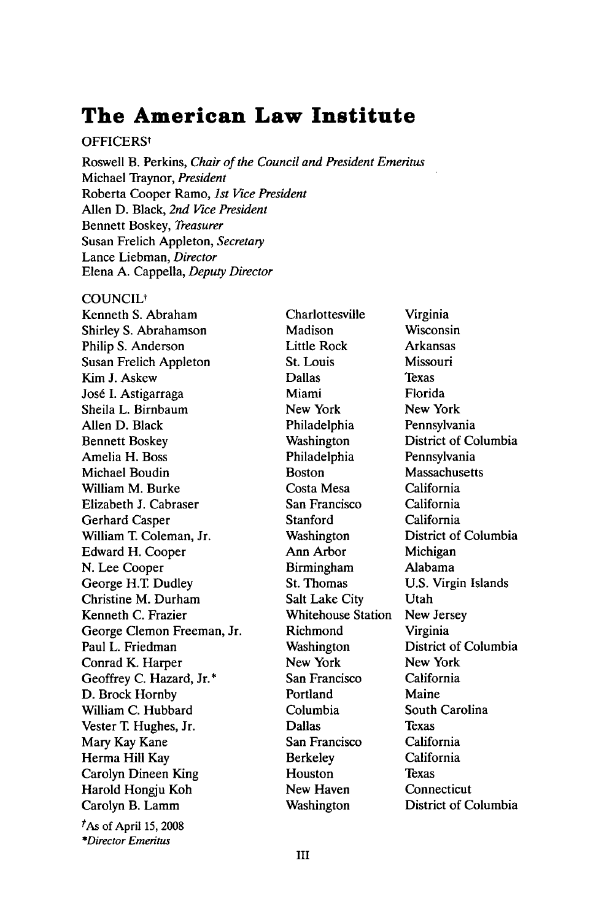# **The American Law Institute**

# **OFFICERS<sup>t</sup>**

Roswell B. Perkins, *Chair of the Council and President Emeritus* Michael Traynor, *President* Roberta Cooper Ramo, *1st Vice President* Allen D. Black, *2nd Vice President* Bennett Boskey, *Treasurer* Susan Frelich Appleton, *Secretary* Lance Liebman, *Director* Elena A. Cappella, *Deputy Director*

#### **COUNCIL<sup>†</sup>**

Kenneth S. Abraham Shirley S. Abrahamson Philip S. Anderson Susan Frelich Appleton Kim J. Askew José I. Astigarraga Sheila L. Birnbaum Allen D. Black Bennett Boskey Amelia H. Boss Michael Boudin William M. Burke Elizabeth J. Cabraser Gerhard Casper William T. Coleman, Jr. Edward H. Cooper N. Lee Cooper George H.T Dudley Christine M. Durham Kenneth C. Frazier George Clemon Freeman, Jr. Paul L. Friedman Conrad K. Harper Geoffrey C. Hazard, Jr.\* D. Brock Hornby William C. Hubbard Vester T. Hughes, Jr. Mary Kay Kane Herma Hill Kay Carolyn Dineen King Harold Hongju Koh Carolyn B. Lamm *tAs* of April 15, 2008 *\*Director Emeritus*

Charlottesville Madison Little Rock St. Louis Dallas Miami New York Philadelphia Washington Philadelphia Boston Costa Mesa San Francisco **Stanford** Washington Ann Arbor Birmingham St. Thomas Salt Lake City Whitehouse Station Richmond Washington New York San Francisco Portland Columbia Dallas San Francisco Berkeley Houston New Haven Washington

Virginia Wisconsin Arkansas Missouri Texas Florida New York Pennsylvania District of Columbia Pennsylvania Massachusetts California California California District of Columbia Michigan Alabama U.S. Virgin Islands Utah New Jersey Virginia District of Columbia New York California Maine South Carolina Texas California California Texas Connecticut District of Columbia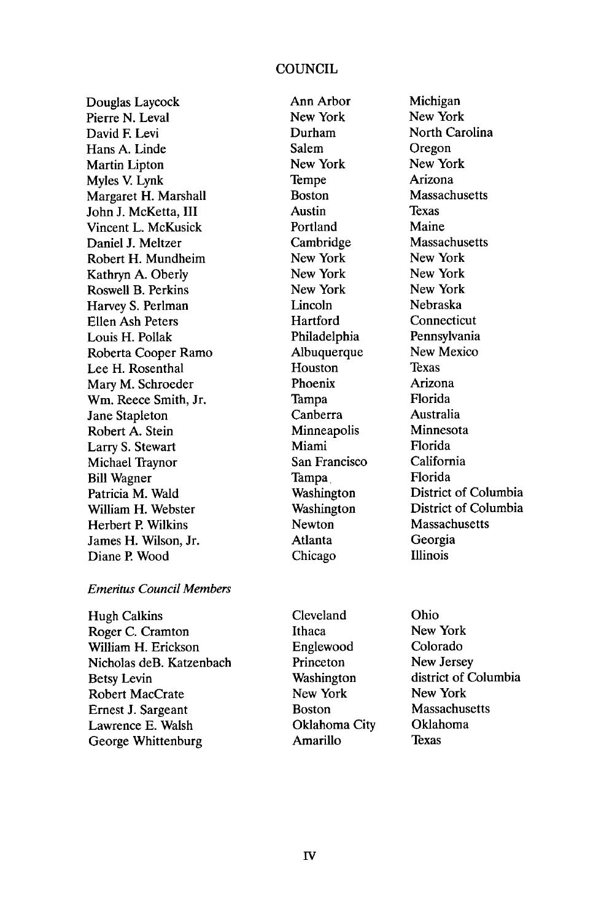#### **COUNCIL**

Douglas Laycock Pierre N. Leval David **F** Levi Hans A. Linde Martin Lipton Myles V. Lynk Margaret H. Marshall John **J.** McKetta, III Vincent L. McKusick Daniel J. Meltzer Robert H. Mundheim Kathryn A. Oberly Roswell B. Perkins Harvey S. Perlman Ellen Ash Peters Louis H. Pollak Roberta Cooper Ramo Lee H. Rosenthal Mary M. Schroeder Wm. Reece Smith, Jr. Jane Stapleton Robert A. Stein Larry S. Stewart Michael Traynor Bill Wagner Patricia M. Wald William H. Webster Herbert P Wilkins James H. Wilson, Jr. Diane P. Wood

#### *Emeritus Council Members*

Hugh Calkins Roger C. Cramton William H. Erickson Nicholas deB. Katzenbach Betsy Levin Robert MacCrate Ernest J. Sargeant Lawrence E. Walsh George Whittenburg

Ann Arbor New York Durham Salem New York Tempe Boston Austin Portland Cambridge New York New York New York Lincoln Hartford Philadelphia Albuquerque Houston Phoenix Tampa Canberra Minneapolis Miami San Francisco Tampa. Washington Washington Newton Atlanta Chicago

Michigan New York North Carolina Oregon New York Arizona Massachusetts Texas Maine Massachusetts New York New York New York Nebraska Connecticut Pennsylvania New Mexico Texas Arizona Florida Australia Minnesota Florida California Florida District of Columbia District of Columbia Massachusetts Georgia Illinois

Cleveland Ithaca Englewood Princeton Washington New York Boston Oklahoma City Amarillo

Ohio New York Colorado New Jersey district of Columbia New York Massachusetts Oklahoma Texas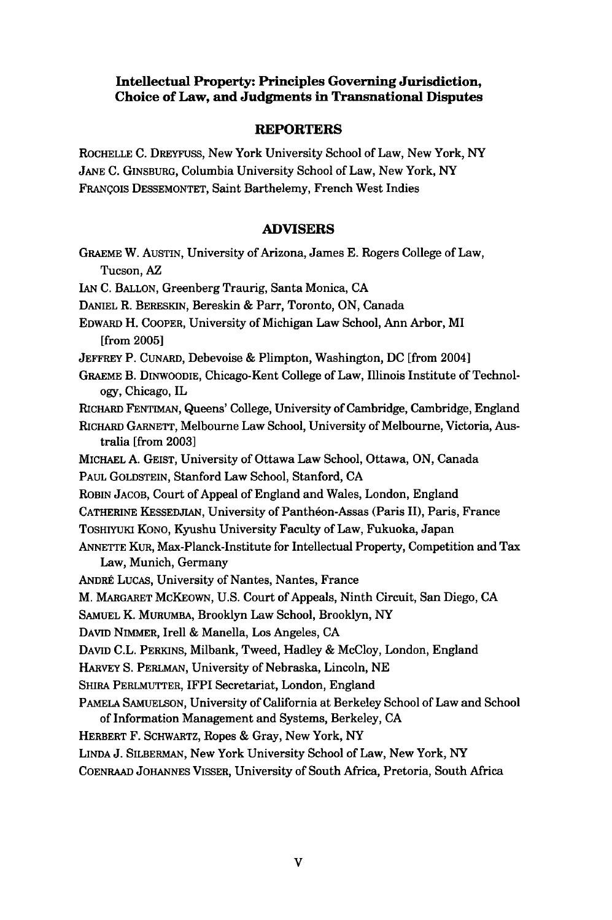# **Intellectual Property- Principles Governing Jurisdiction, Choice of Law, and Judgments in Transnational Disputes**

### **REPORTERS**

ROCHELLE **C.** DREYFUSS, New York University School of Law, New York, NY **JANE C.** GINSBURG, Columbia University School of Law, New York, **NY** FRANgoIs **DESSEMONTET,** Saint Barthelemy, French West Indies

# **ADVISERS**

| GRAEME W. AUSTIN, University of Arizona, James E. Rogers College of Law,                                                               |
|----------------------------------------------------------------------------------------------------------------------------------------|
| Tucson, AZ                                                                                                                             |
| IAN C. BALLON, Greenberg Traurig, Santa Monica, CA                                                                                     |
| DANIEL R. BERESKIN, Bereskin & Parr, Toronto, ON, Canada                                                                               |
| EDWARD H. COOPER, University of Michigan Law School, Ann Arbor, MI<br>from 2005]                                                       |
| JEFFREY P. CUNARD, Debevoise & Plimpton, Washington, DC [from 2004]                                                                    |
| GRAEME B. DINWOODIE, Chicago-Kent College of Law, Illinois Institute of Technol-<br>ogy, Chicago, IL                                   |
| RICHARD FENTIMAN, Queens' College, University of Cambridge, Cambridge, England                                                         |
| RICHARD GARNETT, Melbourne Law School, University of Melbourne, Victoria, Aus-<br>tralia [from 2003]                                   |
| MICHAEL A. GEIST, University of Ottawa Law School, Ottawa, ON, Canada                                                                  |
| PAUL GOLDSTEIN, Stanford Law School, Stanford, CA                                                                                      |
| ROBIN JACOB, Court of Appeal of England and Wales, London, England                                                                     |
| CATHERINE KESSEDJIAN, University of Panthéon-Assas (Paris II), Paris, France                                                           |
| TOSHIYUKI KONO, Kyushu University Faculty of Law, Fukuoka, Japan                                                                       |
| ANNETTE KUR, Max-Planck-Institute for Intellectual Property, Competition and Tax<br>Law, Munich, Germany                               |
| ANDRÉ LUCAS, University of Nantes, Nantes, France                                                                                      |
| M. MARGARET MCKEOWN, U.S. Court of Appeals, Ninth Circuit, San Diego, CA                                                               |
| SAMUEL K. MURUMBA, Brooklyn Law School, Brooklyn, NY                                                                                   |
| DAVID NIMMER, Irell & Manella, Los Angeles, CA                                                                                         |
| DAVID C.L. PERKINS, Milbank, Tweed, Hadley & McCloy, London, England                                                                   |
| HARVEY S. PERLMAN, University of Nebraska, Lincoln, NE                                                                                 |
| SHIRA PERLMUTTER, IFPI Secretariat, London, England                                                                                    |
| PAMELA SAMUELSON, University of California at Berkeley School of Law and School<br>of Information Management and Systems, Berkeley, CA |
| HERBERT F. SCHWARTZ, Ropes & Gray, New York, NY                                                                                        |
|                                                                                                                                        |

LINDA J. SILBERMAN, New York University School of Law, New York, NY **COENRAAD JOHANNES** VISSER, University of South Africa, Pretoria, South Africa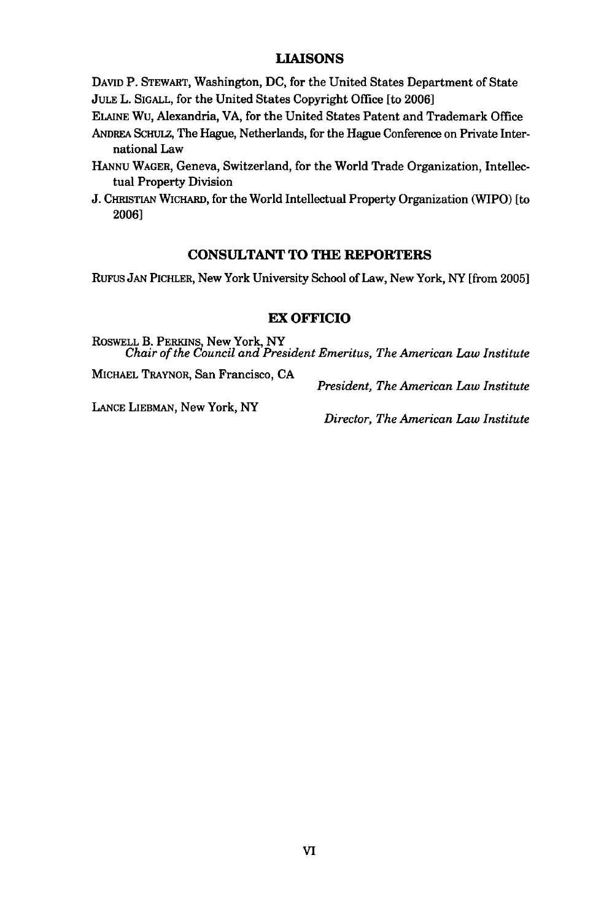# **LIAISONS**

**DAVID** P. STEWART, Washington, **DC,** for the United States Department of State **JULE** L. **SIGALL,** for the United States Copyright Office [to **2006]**

- ELAINE Wu, Alexandria, VA, for the United States Patent and Trademark Office
- **ANDREA** ScHuLz, The Hague, Netherlands, for the Hague Conference on Private International Law
- HANNU WAGER, Geneva, Switzerland, for the World Trade Organization, Intellectual Property Division
- **J. CHRISTIAN** WICHARD, for the World Intellectual Property Organization (WIPO) [to 2006]

#### **CONSULTANT TO THE REPORTERS**

RuFus **JAN** PICHLER, New York University School of Law, New York, NY [from 2005]

#### **EX OFFICIO**

ROSWELL **B.** PERKINS, New York, NY *Chair of the Council and President Emeritus, The American Law Institute*

**MICHAEL** TRAYNOR, San Francisco, **CA**

*President, The American Law Institute*

**LANCE** LIEBMAN, New York, NY

*Director, The American Law Institute*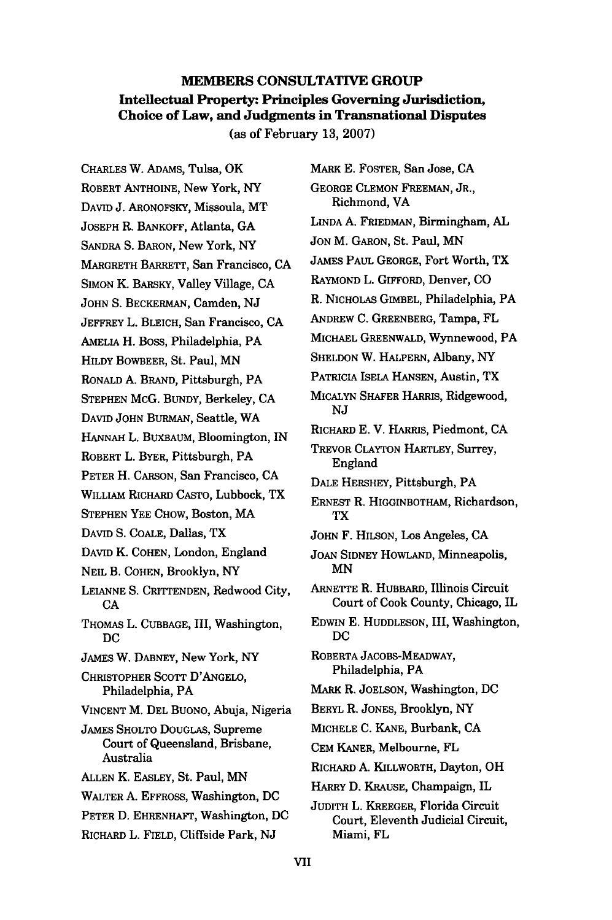# **MEMBERS CONSULTATIVE GROUP Intellectual Property: Principles Governing Jurisdiction, Choice of Law, and Judgments in Transnational Disputes**

(as of February **13, 2007)**

CHARLES W. ADAMS, Tulsa, OK ROBERT ANTHOINE, New York, NY DAVID J. ARONOFSKY, Missoula, MT JOSEPH R. BANKOFF, Atlanta, **GA SANDRA** S. BARON, New York, NY MARGRETH BARRETT, San Francisco, CA SIMON K. BARSKY, Valley Village, CA JOHN **S.** BECKERMAN, Camden, NJ JEFFREY L. BLEICH, San Francisco, CA AMELIA H. Boss, Philadelphia, PA HILDY BOWBEER, St. Paul, MN RONALD A. BRAND, Pittsburgh, PA STEPHEN McG. BUNDY, Berkeley, CA DAVID JOHN BURMAN, Seattle, WA HANNAH L. BUXBAUM, Bloomington, IN ROBERT L. BYER, Pittsburgh, PA PETER H. CARSON, San Francisco, CA WILLIAM RICHARD CASTO, Lubbock, TX STEPHEN YEE CHOW, Boston, MA DAVID S. COALE, Dallas, TX DAVID K. COHEN, London, England NEIL B. COHEN, Brooklyn, NY LEIANNE **S.** CRITTENDEN, Redwood City, **CA** THOMAS L. CUBBAGE, III, Washington, DC JAMES W. DABNEY, New York, NY CHRISTOPHER SCOTT D'ANGELO, Philadelphia, PA VINCENT M. DEL BUONO, Abuja, Nigeria JAMES SHOLTO DOUGLAS, Supreme Court of Queensland, Brisbane, Australia ALLEN K. EASLEY, St. Paul, MN WALTER **A.** EFFROSS, Washington, DC PETER D. EHRENHAFT, Washington, DC RICHARD L. FIELD, Cliffside Park, NJ

MARK E. FOSTER, San Jose, **CA** GEORGE CLEMON FREEMAN, JR., Richmond, VA LINDA **A.** FRIEDMAN, Birmingham, AL JON M. GARON, St. Paul, MN JAMES PAUL GEORGE, Fort Worth, TX RAYMOND L. GIFFORD, Denver, CO R. NICHOLAS GIMBEL, Philadelphia, PA ANDREW **C.** GREENBERG, Tampa, FL MICHAEL GREENWALD, Wynnewood, PA SHELDON W. HALPERN, Albany, NY PATRICIA ISELA HANSEN, Austin, TX **MICALYN** SHAFER HARRIS, Ridgewood, NJ RICHARD E. V. HARRIS, Piedmont, CA TREVOR CLAYTON HARTLEY, Surrey, England DALE HERSHEY, Pittsburgh, PA ERNEST R. HIGGINBOTHAM, Richardson, TX JOHN F. **HILSON,** Los Angeles, CA JOAN SIDNEY HOWLAND, Minneapolis, MN ARNETTE R. HUBBARD, Illinois Circuit Court of Cook County, Chicago, IL EDWIN E. HUDDLESON, III, Washington, DC ROBERTA JACOBS-MEADWAY, Philadelphia, PA MARK R. JOELSON, Washington, DC BERYL R. JONES, Brooklyn, NY MICHELE C. KANE, Burbank, **CA** CEM KANER, Melbourne, FL RICHARD **A.** KILLWORTH, Dayton, OH HARRY D. KRAUSE, Champaign, IL JUDITH L. KREEGER, Florida Circuit Court, Eleventh Judicial Circuit, Miami, FL